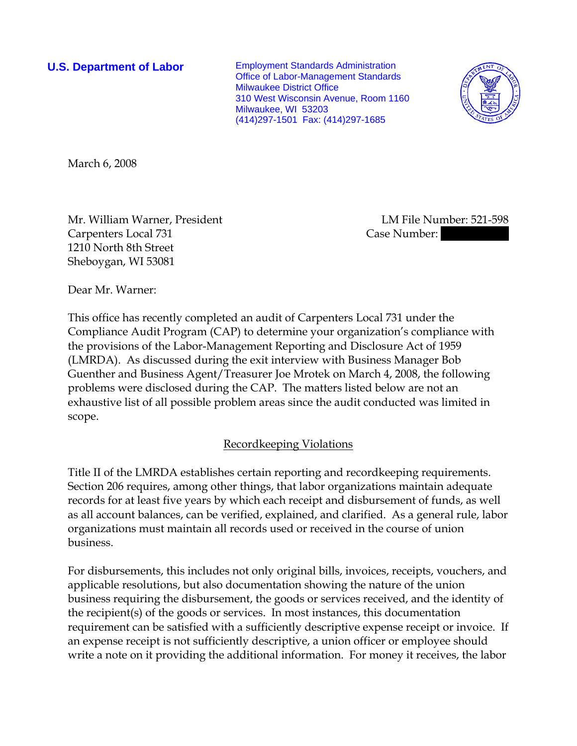**U.S. Department of Labor** Employment Standards Administration Office of Labor-Management Standards Milwaukee District Office 310 West Wisconsin Avenue, Room 1160 Milwaukee, WI 53203 (414)297-1501 Fax: (414)297-1685



March 6, 2008

Mr. William Warner, President LM File Number: 521-598 Carpenters Local 731 Case Number: 1210 North 8th Street Sheboygan, WI 53081

Dear Mr. Warner:

This office has recently completed an audit of Carpenters Local 731 under the Compliance Audit Program (CAP) to determine your organization's compliance with the provisions of the Labor-Management Reporting and Disclosure Act of 1959 (LMRDA). As discussed during the exit interview with Business Manager Bob Guenther and Business Agent/Treasurer Joe Mrotek on March 4, 2008, the following problems were disclosed during the CAP. The matters listed below are not an exhaustive list of all possible problem areas since the audit conducted was limited in scope.

## Recordkeeping Violations

Title II of the LMRDA establishes certain reporting and recordkeeping requirements. Section 206 requires, among other things, that labor organizations maintain adequate records for at least five years by which each receipt and disbursement of funds, as well as all account balances, can be verified, explained, and clarified. As a general rule, labor organizations must maintain all records used or received in the course of union business.

For disbursements, this includes not only original bills, invoices, receipts, vouchers, and applicable resolutions, but also documentation showing the nature of the union business requiring the disbursement, the goods or services received, and the identity of the recipient(s) of the goods or services. In most instances, this documentation requirement can be satisfied with a sufficiently descriptive expense receipt or invoice. If an expense receipt is not sufficiently descriptive, a union officer or employee should write a note on it providing the additional information. For money it receives, the labor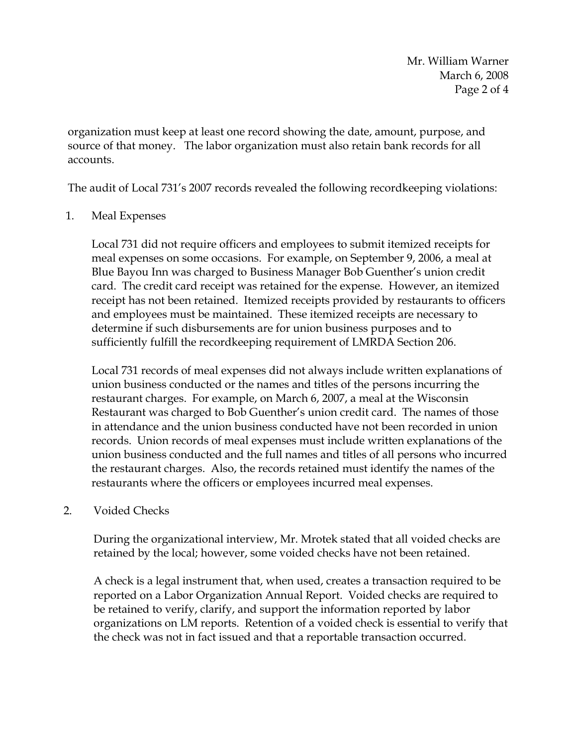Mr. William Warner March 6, 2008 Page 2 of 4

organization must keep at least one record showing the date, amount, purpose, and source of that money. The labor organization must also retain bank records for all accounts.

The audit of Local 731's 2007 records revealed the following recordkeeping violations:

## 1. Meal Expenses

Local 731 did not require officers and employees to submit itemized receipts for meal expenses on some occasions. For example, on September 9, 2006, a meal at Blue Bayou Inn was charged to Business Manager Bob Guenther's union credit card. The credit card receipt was retained for the expense. However, an itemized receipt has not been retained. Itemized receipts provided by restaurants to officers and employees must be maintained. These itemized receipts are necessary to determine if such disbursements are for union business purposes and to sufficiently fulfill the recordkeeping requirement of LMRDA Section 206.

Local 731 records of meal expenses did not always include written explanations of union business conducted or the names and titles of the persons incurring the restaurant charges. For example, on March 6, 2007, a meal at the Wisconsin Restaurant was charged to Bob Guenther's union credit card. The names of those in attendance and the union business conducted have not been recorded in union records. Union records of meal expenses must include written explanations of the union business conducted and the full names and titles of all persons who incurred the restaurant charges. Also, the records retained must identify the names of the restaurants where the officers or employees incurred meal expenses.

## 2. Voided Checks

During the organizational interview, Mr. Mrotek stated that all voided checks are retained by the local; however, some voided checks have not been retained.

A check is a legal instrument that, when used, creates a transaction required to be reported on a Labor Organization Annual Report. Voided checks are required to be retained to verify, clarify, and support the information reported by labor organizations on LM reports. Retention of a voided check is essential to verify that the check was not in fact issued and that a reportable transaction occurred.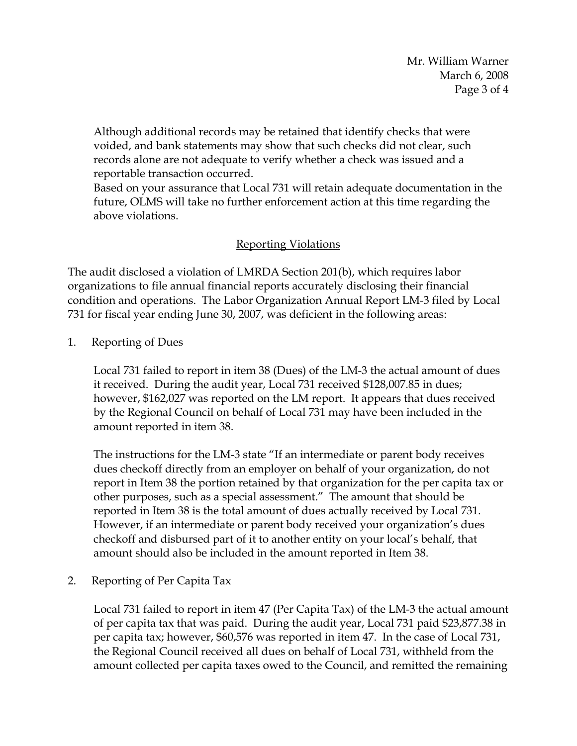Mr. William Warner March 6, 2008 Page 3 of 4

Although additional records may be retained that identify checks that were voided, and bank statements may show that such checks did not clear, such records alone are not adequate to verify whether a check was issued and a reportable transaction occurred.

Based on your assurance that Local 731 will retain adequate documentation in the future, OLMS will take no further enforcement action at this time regarding the above violations.

## Reporting Violations

The audit disclosed a violation of LMRDA Section 201(b), which requires labor organizations to file annual financial reports accurately disclosing their financial condition and operations. The Labor Organization Annual Report LM-3 filed by Local 731 for fiscal year ending June 30, 2007, was deficient in the following areas:

1. Reporting of Dues

Local 731 failed to report in item 38 (Dues) of the LM-3 the actual amount of dues it received. During the audit year, Local 731 received \$128,007.85 in dues; however, \$162,027 was reported on the LM report. It appears that dues received by the Regional Council on behalf of Local 731 may have been included in the amount reported in item 38.

The instructions for the LM-3 state "If an intermediate or parent body receives dues checkoff directly from an employer on behalf of your organization, do not report in Item 38 the portion retained by that organization for the per capita tax or other purposes, such as a special assessment." The amount that should be reported in Item 38 is the total amount of dues actually received by Local 731. However, if an intermediate or parent body received your organization's dues checkoff and disbursed part of it to another entity on your local's behalf, that amount should also be included in the amount reported in Item 38.

2. Reporting of Per Capita Tax

Local 731 failed to report in item 47 (Per Capita Tax) of the LM-3 the actual amount of per capita tax that was paid. During the audit year, Local 731 paid \$23,877.38 in per capita tax; however, \$60,576 was reported in item 47. In the case of Local 731, the Regional Council received all dues on behalf of Local 731, withheld from the amount collected per capita taxes owed to the Council, and remitted the remaining